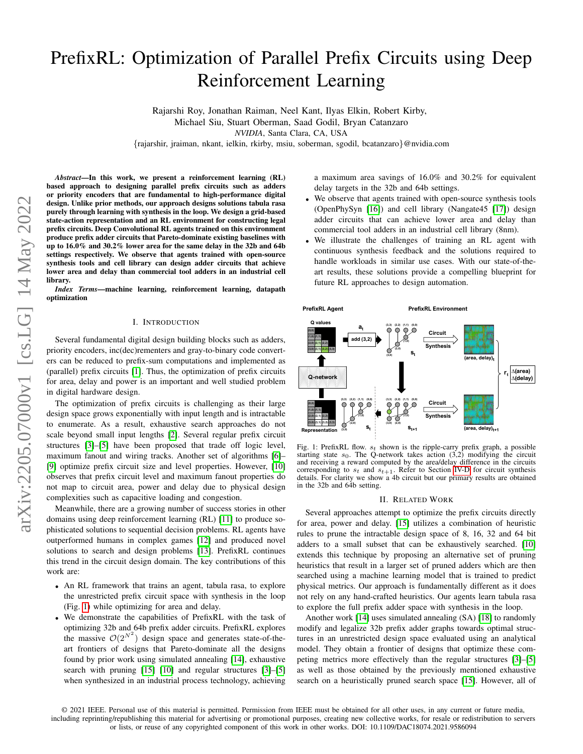# PrefixRL: Optimization of Parallel Prefix Circuits using Deep Reinforcement Learning

Rajarshi Roy, Jonathan Raiman, Neel Kant, Ilyas Elkin, Robert Kirby,

Michael Siu, Stuart Oberman, Saad Godil, Bryan Catanzaro

*NVIDIA*, Santa Clara, CA, USA

{rajarshir, jraiman, nkant, ielkin, rkirby, msiu, soberman, sgodil, bcatanzaro}@nvidia.com

*Abstract*—In this work, we present a reinforcement learning (RL) based approach to designing parallel prefix circuits such as adders or priority encoders that are fundamental to high-performance digital design. Unlike prior methods, our approach designs solutions tabula rasa purely through learning with synthesis in the loop. We design a grid-based state-action representation and an RL environment for constructing legal prefix circuits. Deep Convolutional RL agents trained on this environment produce prefix adder circuits that Pareto-dominate existing baselines with up to 16.0% and 30.2% lower area for the same delay in the 32b and 64b settings respectively. We observe that agents trained with open-source synthesis tools and cell library can design adder circuits that achieve lower area and delay than commercial tool adders in an industrial cell library.

*Index Terms*—machine learning, reinforcement learning, datapath optimization

## I. INTRODUCTION

Several fundamental digital design building blocks such as adders, priority encoders, inc(dec)rementers and gray-to-binary code converters can be reduced to prefix-sum computations and implemented as (parallel) prefix circuits [\[1\]](#page-5-0). Thus, the optimization of prefix circuits for area, delay and power is an important and well studied problem in digital hardware design.

The optimization of prefix circuits is challenging as their large design space grows exponentially with input length and is intractable to enumerate. As a result, exhaustive search approaches do not scale beyond small input lengths [\[2\]](#page-5-1). Several regular prefix circuit structures [\[3\]](#page-5-2)–[\[5\]](#page-5-3) have been proposed that trade off logic level, maximum fanout and wiring tracks. Another set of algorithms [\[6\]](#page-5-4)– [\[9\]](#page-5-5) optimize prefix circuit size and level properties. However, [\[10\]](#page-5-6) observes that prefix circuit level and maximum fanout properties do not map to circuit area, power and delay due to physical design complexities such as capacitive loading and congestion.

Meanwhile, there are a growing number of success stories in other domains using deep reinforcement learning (RL) [\[11\]](#page-5-7) to produce sophisticated solutions to sequential decision problems. RL agents have outperformed humans in complex games [\[12\]](#page-5-8) and produced novel solutions to search and design problems [\[13\]](#page-5-9). PrefixRL continues this trend in the circuit design domain. The key contributions of this work are:

- An RL framework that trains an agent, tabula rasa, to explore the unrestricted prefix circuit space with synthesis in the loop (Fig. [1\)](#page-0-0) while optimizing for area and delay.
- We demonstrate the capabilities of PrefixRL with the task of optimizing 32b and 64b prefix adder circuits. PrefixRL explores the massive  $\mathcal{O}(2^{N^2})$  design space and generates state-of-theart frontiers of designs that Pareto-dominate all the designs found by prior work using simulated annealing [\[14\]](#page-5-10), exhaustive search with pruning [\[15\]](#page-5-11) [\[10\]](#page-5-6) and regular structures [\[3\]](#page-5-2)–[\[5\]](#page-5-3) when synthesized in an industrial process technology, achieving

a maximum area savings of 16.0% and 30.2% for equivalent delay targets in the 32b and 64b settings.

- We observe that agents trained with open-source synthesis tools (OpenPhySyn [\[16\]](#page-5-12)) and cell library (Nangate45 [\[17\]](#page-5-13)) design adder circuits that can achieve lower area and delay than commercial tool adders in an industrial cell library (8nm).
- We illustrate the challenges of training an RL agent with continuous synthesis feedback and the solutions required to handle workloads in similar use cases. With our state-of-theart results, these solutions provide a compelling blueprint for future RL approaches to design automation.

<span id="page-0-0"></span>

Fig. 1: PrefixRL flow.  $s_t$  shown is the ripple-carry prefix graph, a possible starting state  $s_0$ . The Q-network takes action (3,2) modifying the circuit and receiving a reward computed by the area/delay difference in the circuits corresponding to  $s_t$  and  $s_{t+1}$ . Refer to Section [IV-D](#page-3-0) for circuit synthesis details. For clarity we show a 4b circuit but our primary results are obtained in the 32b and 64b setting.

#### II. RELATED WORK

Several approaches attempt to optimize the prefix circuits directly for area, power and delay. [\[15\]](#page-5-11) utilizes a combination of heuristic rules to prune the intractable design space of 8, 16, 32 and 64 bit adders to a small subset that can be exhaustively searched. [\[10\]](#page-5-6) extends this technique by proposing an alternative set of pruning heuristics that result in a larger set of pruned adders which are then searched using a machine learning model that is trained to predict physical metrics. Our approach is fundamentally different as it does not rely on any hand-crafted heuristics. Our agents learn tabula rasa to explore the full prefix adder space with synthesis in the loop.

Another work [\[14\]](#page-5-10) uses simulated annealing (SA) [\[18\]](#page-5-14) to randomly modify and legalize 32b prefix adder graphs towards optimal structures in an unrestricted design space evaluated using an analytical model. They obtain a frontier of designs that optimize these competing metrics more effectively than the regular structures [\[3\]](#page-5-2)–[\[5\]](#page-5-3) as well as those obtained by the previously mentioned exhaustive search on a heuristically pruned search space [\[15\]](#page-5-11). However, all of

<sup>© 2021</sup> IEEE. Personal use of this material is permitted. Permission from IEEE must be obtained for all other uses, in any current or future media, including reprinting/republishing this material for advertising or promotional purposes, creating new collective works, for resale or redistribution to servers or lists, or reuse of any copyrighted component of this work in other works. DOI: 10.1109/DAC18074.2021.9586094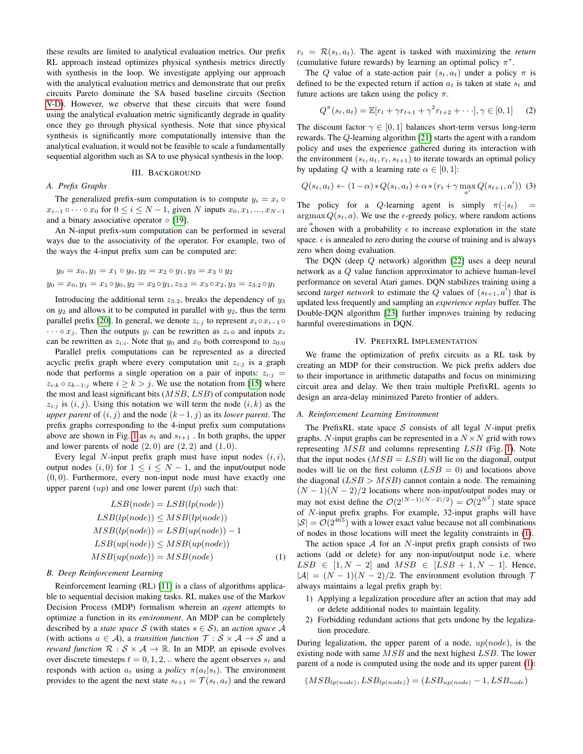these results are limited to analytical evaluation metrics. Our prefix RL approach instead optimizes physical synthesis metrics directly with synthesis in the loop. We investigate applying our approach with the analytical evaluation metrics and demonstrate that our prefix circuits Pareto dominate the SA based baseline circuits (Section [V-D\)](#page-4-0). However, we observe that these circuits that were found using the analytical evaluation metric significantly degrade in quality once they go through physical synthesis. Note that since physical synthesis is significantly more computationally intensive than the analytical evaluation, it would not be feasible to scale a fundamentally sequential algorithm such as SA to use physical synthesis in the loop.

## III. BACKGROUND

## *A. Prefix Graphs*

The generalized prefix-sum computation is to compute  $y_i = x_i \circ$  $x_{i-1} \circ \cdots \circ x_0$  for  $0 \le i \le N-1$ , given N inputs  $x_0, x_1, ..., x_{N-1}$ and a binary associative operator  $\circ$  [\[19\]](#page-5-15).

An N-input prefix-sum computation can be performed in several ways due to the associativity of the operator. For example, two of the ways the 4-input prefix sum can be computed are:

$$
y_0 = x_0, y_1 = x_1 \circ y_0, y_2 = x_2 \circ y_1, y_3 = x_3 \circ y_2
$$
  

$$
y_0 = x_0, y_1 = x_1 \circ y_0, y_2 = x_2 \circ y_1, z_{3:2} = x_3 \circ x_2, y_3 = z_{3:2} \circ y_1
$$

Introducing the additional term  $z_{3:2}$ , breaks the dependency of  $y_3$ on  $y_2$  and allows it to be computed in parallel with  $y_2$ , thus the term parallel prefix [\[20\]](#page-5-16). In general, we denote  $z_{i:j}$  to represent  $x_i \circ x_{i-1} \circ$  $\cdots \circ x_i$ . Then the outputs  $y_i$  can be rewritten as  $z_{i:0}$  and inputs  $x_i$ can be rewritten as  $z_{i:i}$ . Note that  $y_0$  and  $x_0$  both correspond to  $z_{0:0}$ 

Parallel prefix computations can be represented as a directed acyclic prefix graph where every computation unit  $z_{i:j}$  is a graph node that performs a single operation on a pair of inputs:  $z_{i:i}$  =  $z_{i:k} \circ z_{k-1:j}$  where  $i \geq k > j$ . We use the notation from [\[15\]](#page-5-11) where the most and least significant bits  $(MSB, LSB)$  of computation node  $z_{i:j}$  is  $(i, j)$ . Using this notation we will term the node  $(i, k)$  as the *upper parent* of  $(i, j)$  and the node  $(k-1, j)$  as its *lower parent*. The prefix graphs corresponding to the 4-input prefix sum computations above are shown in Fig. [1](#page-0-0) as  $s_t$  and  $s_{t+1}$ . In both graphs, the upper and lower parents of node  $(2, 0)$  are  $(2, 2)$  and  $(1, 0)$ .

Every legal N-input prefix graph must have input nodes  $(i, i)$ , output nodes  $(i, 0)$  for  $1 \le i \le N - 1$ , and the input/output node  $(0, 0)$ . Furthermore, every non-input node must have exactly one upper parent  $(up)$  and one lower parent  $(lp)$  such that:

$$
LSB(node) = LSB(lp(node))
$$
  
\n
$$
LSB(lp(node)) \leq MSB(lp(node))
$$
  
\n
$$
MSB(lp(node)) = LSB(up(node)) - 1
$$
  
\n
$$
LSB(up(node)) \leq MSB(up(node))
$$
  
\n
$$
MSB(up(node)) = MSB(node)
$$
  
\n(1)

## *B. Deep Reinforcement Learning*

Reinforcement learning (RL) [\[11\]](#page-5-7) is a class of algorithms applicable to sequential decision making tasks. RL makes use of the Markov Decision Process (MDP) formalism wherein an *agent* attempts to optimize a function in its *environment*. An MDP can be completely described by a *state space* S (with states  $s \in S$ ), an *action space* A (with actions  $a \in \mathcal{A}$ ), a *transition function*  $\mathcal{T}: \mathcal{S} \times \mathcal{A} \rightarrow \mathcal{S}$  and a *reward function*  $\mathcal{R}: \mathcal{S} \times \mathcal{A} \rightarrow \mathbb{R}$ . In an MDP, an episode evolves over discrete timesteps  $t = 0, 1, 2, ...$  where the agent observes  $s_t$  and responds with action  $a_t$  using a *policy*  $\pi(a_t|s_t)$ . The environment provides to the agent the next state  $s_{t+1} = \mathcal{T}(s_t, a_t)$  and the reward  $r_t = \mathcal{R}(s_t, a_t)$ . The agent is tasked with maximizing the *return* (cumulative future rewards) by learning an optimal policy  $\pi^*$ .

The Q value of a state-action pair  $(s_t, a_t)$  under a policy  $\pi$  is defined to be the expected return if action  $a_t$  is taken at state  $s_t$  and future actions are taken using the policy  $\pi$ .

$$
Q^{\pi}(s_t, a_t) = \mathbb{E}[r_t + \gamma r_{t+1} + \gamma^2 r_{t+2} + \cdots], \gamma \in [0, 1]
$$
 (2)

The discount factor  $\gamma \in [0, 1]$  balances short-term versus long-term rewards. The Q-learning algorithm [\[21\]](#page-5-17) starts the agent with a random policy and uses the experience gathered during its interaction with the environment  $(s_t, a_t, r_t, s_{t+1})$  to iterate towards an optimal policy by updating Q with a learning rate  $\alpha \in [0, 1]$ :

$$
Q(s_t, a_t) \leftarrow (1 - \alpha) * Q(s_t, a_t) + \alpha * (r_t + \gamma \max_{a'} Q(s_{t+1}, a')) \tag{3}
$$

The policy for a Q-learning agent is simply  $\pi(\cdot|s_t)$  $argmax Q(s_t, a)$ . We use the  $\epsilon$ -greedy policy, where random actions are chosen with a probability  $\epsilon$  to increase exploration in the state space.  $\epsilon$  is annealed to zero during the course of training and is always zero when doing evaluation.

The DQN (deep Q network) algorithm [\[22\]](#page-5-18) uses a deep neural network as a Q value function approximator to achieve human-level performance on several Atari games. DQN stabilizes training using a second *target network* to estimate the Q values of  $(s_{t+1}, a')$  that is updated less frequently and sampling an *experience replay* buffer. The Double-DQN algorithm [\[23\]](#page-5-19) further improves training by reducing harmful overestimations in DQN.

#### IV. PREFIXRL IMPLEMENTATION

We frame the optimization of prefix circuits as a RL task by creating an MDP for their construction. We pick prefix adders due to their importance in arithmetic datapaths and focus on minimizing circuit area and delay. We then train multiple PrefixRL agents to design an area-delay minimized Pareto frontier of adders.

#### <span id="page-1-1"></span>*A. Reinforcement Learning Environment*

The PrefixRL state space  $S$  consists of all legal  $N$ -input prefix graphs. N-input graphs can be represented in a  $N \times N$  grid with rows representing MSB and columns representing LSB (Fig. [1\)](#page-0-0). Note that the input nodes  $(MSB = LSB)$  will lie on the diagonal, output nodes will lie on the first column  $(LSB = 0)$  and locations above the diagonal  $(LSB > MSB)$  cannot contain a node. The remaining  $(N-1)(N-2)/2$  locations where non-input/output nodes may or may not exist define the  $\mathcal{O}(2^{(N-1)(N-2)/2}) = \mathcal{O}(2^{N^2})$  state space of N-input prefix graphs. For example, 32-input graphs will have  $|\mathcal{S}| = \mathcal{O}(2^{465})$  with a lower exact value because not all combinations of nodes in those locations will meet the legality constraints in [\(1\)](#page-1-0).

<span id="page-1-0"></span>The action space  $A$  for an  $N$ -input prefix graph consists of two actions (add or delete) for any non-input/output node i.e. where  $LSB \in [1, N - 2]$  and  $MSB \in [LSB + 1, N - 1]$ . Hence,  $|A| = (N-1)(N-2)/2$ . The environment evolution through T always maintains a legal prefix graph by:

- 1) Applying a legalization procedure after an action that may add or delete additional nodes to maintain legality.
- 2) Forbidding redundant actions that gets undone by the legalization procedure.

During legalization, the upper parent of a node,  $up(node)$ , is the existing node with same  $MSB$  and the next highest  $LSB$ . The lower parent of a node is computed using the node and its upper parent [\(1\)](#page-1-0):

$$
(MSB_{lp(node)}, LSB_{lp(node)}) = (LSB_{up(node)} - 1, LSB_{node})
$$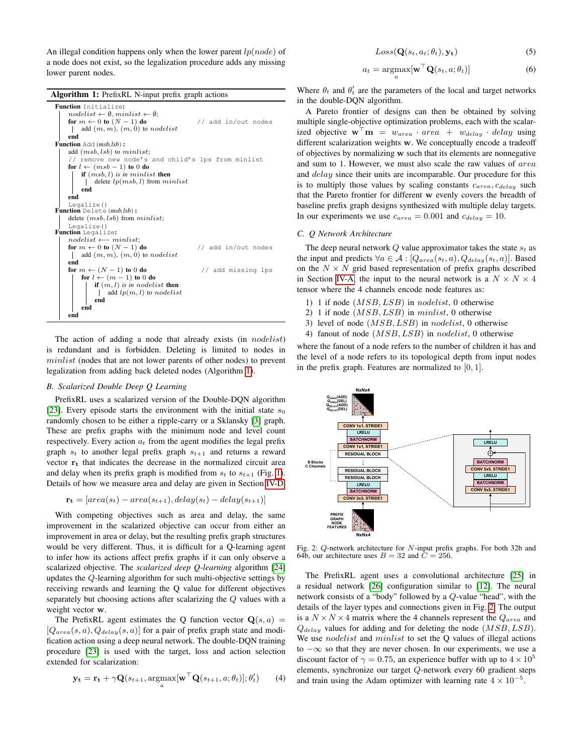An illegal condition happens only when the lower parent  $lp(node)$  of a node does not exist, so the legalization procedure adds any missing lower parent nodes.

Algorithm 1: PrefixRL N-input prefix graph actions



<span id="page-2-0"></span>The action of adding a node that already exists (in *nodelist*) is redundant and is forbidden. Deleting is limited to nodes in minlist (nodes that are not lower parents of other nodes) to prevent legalization from adding back deleted nodes (Algorithm [1\)](#page-2-0).

## *B. Scalarized Double Deep Q Learning*

PrefixRL uses a scalarized version of the Double-DQN algorithm [\[23\]](#page-5-19). Every episode starts the environment with the initial state  $s_0$ randomly chosen to be either a ripple-carry or a Sklansky [\[3\]](#page-5-2) graph. These are prefix graphs with the minimum node and level count respectively. Every action  $a_t$  from the agent modifies the legal prefix graph  $s_t$  to another legal prefix graph  $s_{t+1}$  and returns a reward vector  $r_t$  that indicates the decrease in the normalized circuit area and delay when its prefix graph is modified from  $s_t$  to  $s_{t+1}$  (Fig. [1\)](#page-0-0). Details of how we measure area and delay are given in Section [IV-D.](#page-3-0)

$$
\mathbf{r_t} = [area(s_t) - area(s_{t+1}), delay(s_t) - delay(s_{t+1})]
$$

With competing objectives such as area and delay, the same improvement in the scalarized objective can occur from either an improvement in area or delay, but the resulting prefix graph structures would be very different. Thus, it is difficult for a Q-learning agent to infer how its actions affect prefix graphs if it can only observe a scalarized objective. The *scalarized deep Q-learning* algorithm [\[24\]](#page-5-20) updates the Q-learning algorithm for such multi-objective settings by receiving rewards and learning the Q value for different objectives separately but choosing actions after scalarizing the Q values with a weight vector w.

The PrefixRL agent estimates the Q function vector  $\mathbf{Q}(s, a)$  =  $[Q_{area}(s, a), Q_{delay}(s, a)]$  for a pair of prefix graph state and modification action using a deep neural network. The double-DQN training procedure [\[23\]](#page-5-19) is used with the target, loss and action selection extended for scalarization:

$$
\mathbf{y_t} = \mathbf{r_t} + \gamma \mathbf{Q}(s_{t+1}, \underset{a}{\text{argmax}}[\mathbf{w}^\top \mathbf{Q}(s_{t+1}, a; \theta_t)]; \theta'_t)
$$
(4)

$$
Loss(Q(s_t, a_t; \theta_t), \mathbf{y_t})
$$
\n(5)

$$
a_t = \underset{a}{\operatorname{argmax}} [\mathbf{w}^\top \mathbf{Q}(s_t, a; \theta_t)] \tag{6}
$$

Where  $\theta_t$  and  $\theta'_t$  are the parameters of the local and target networks in the double-DQN algorithm.

A Pareto frontier of designs can then be obtained by solving multiple single-objective optimization problems, each with the scalarized objective  $\mathbf{w}^{\top} \mathbf{m} = w_{area} \cdot area + w_{delay} \cdot delay$  using different scalarization weights w. We conceptually encode a tradeoff of objectives by normalizing w such that its elements are nonnegative and sum to 1. However, we must also scale the raw values of area and *delay* since their units are incomparable. Our procedure for this is to multiply those values by scaling constants  $c_{area}$ ,  $c_{delay}$  such that the Pareto frontier for different w evenly covers the breadth of baseline prefix graph designs synthesized with multiple delay targets. In our experiments we use  $c_{area} = 0.001$  and  $c_{delay} = 10$ .

## *C. Q Network Architecture*

The deep neural network  $Q$  value approximator takes the state  $s_t$  as the input and predicts  $\forall a \in \mathcal{A} : [Q_{area}(s_t, a), Q_{delay}(s_t, a)]$ . Based on the  $N \times N$  grid based representation of prefix graphs described in Section [IV-A,](#page-1-1) the input to the neural network is a  $N \times N \times 4$ tensor where the 4 channels encode node features as:

- 1) 1 if node (MSB, LSB) in nodelist, 0 otherwise
- 2) 1 if node (MSB, LSB) in minlist, 0 otherwise
- 3) level of node (MSB, LSB) in nodelist, 0 otherwise
- 4) fanout of node (MSB, LSB) in nodelist, 0 otherwise

where the fanout of a node refers to the number of children it has and the level of a node refers to its topological depth from input nodes in the prefix graph. Features are normalized to [0, 1].

<span id="page-2-1"></span>

Fig. 2: Q-network architecture for N-input prefix graphs. For both 32b and 64b, our architecture uses  $B = 32$  and  $C = 256$ .

The PrefixRL agent uses a convolutional architecture [\[25\]](#page-5-21) in a residual network [\[26\]](#page-5-22) configuration similar to [\[12\]](#page-5-8). The neural network consists of a "body" followed by a Q-value "head", with the details of the layer types and connections given in Fig. [2.](#page-2-1) The output is a  $N \times N \times 4$  matrix where the 4 channels represent the  $Q_{area}$  and  $Q_{delay}$  values for adding and for deleting the node  $(MSB, LSB)$ . We use nodelist and minlist to set the Q values of illegal actions to −∞ so that they are never chosen. In our experiments, we use a discount factor of  $\gamma = 0.75$ , an experience buffer with up to  $4 \times 10^5$ elements, synchronize our target Q-network every 60 gradient steps and train using the Adam optimizer with learning rate  $4 \times 10^{-5}$ .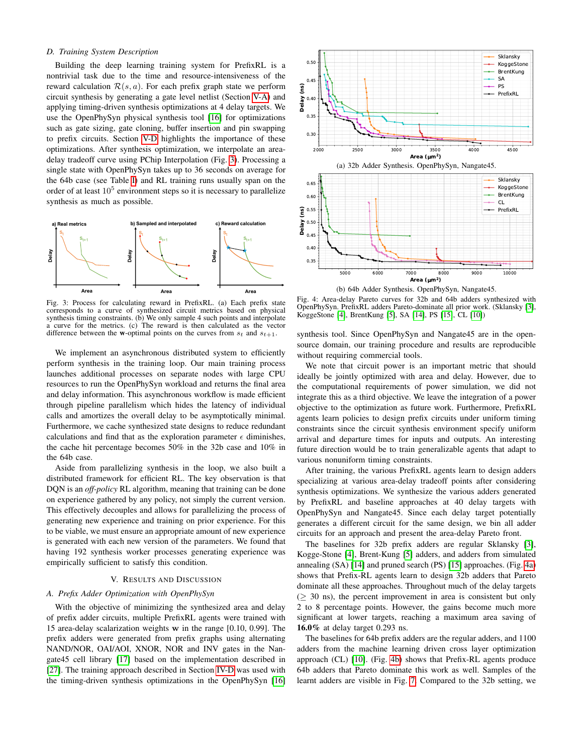## <span id="page-3-0"></span>*D. Training System Description*

Building the deep learning training system for PrefixRL is a nontrivial task due to the time and resource-intensiveness of the reward calculation  $\mathcal{R}(s, a)$ . For each prefix graph state we perform circuit synthesis by generating a gate level netlist (Section [V-A\)](#page-3-1) and applying timing-driven synthesis optimizations at 4 delay targets. We use the OpenPhySyn physical synthesis tool [\[16\]](#page-5-12) for optimizations such as gate sizing, gate cloning, buffer insertion and pin swapping to prefix circuits. Section [V-D](#page-4-0) highlights the importance of these optimizations. After synthesis optimization, we interpolate an areadelay tradeoff curve using PChip Interpolation (Fig. [3\)](#page-3-2). Processing a single state with OpenPhySyn takes up to 36 seconds on average for the 64b case (see Table [I\)](#page-4-1) and RL training runs usually span on the order of at least  $10^5$  environment steps so it is necessary to parallelize synthesis as much as possible.

<span id="page-3-2"></span>

Fig. 3: Process for calculating reward in PrefixRL. (a) Each prefix state corresponds to a curve of synthesized circuit metrics based on physical synthesis timing constraints. (b) We only sample 4 such points and interpolate a curve for the metrics. (c) The reward is then calculated as the vector difference between the w-optimal points on the curves from  $s_t$  and  $s_{t+1}$ .

We implement an asynchronous distributed system to efficiently perform synthesis in the training loop. Our main training process launches additional processes on separate nodes with large CPU resources to run the OpenPhySyn workload and returns the final area and delay information. This asynchronous workflow is made efficient through pipeline parallelism which hides the latency of individual calls and amortizes the overall delay to be asymptotically minimal. Furthermore, we cache synthesized state designs to reduce redundant calculations and find that as the exploration parameter  $\epsilon$  diminishes, the cache hit percentage becomes 50% in the 32b case and 10% in the 64b case.

Aside from parallelizing synthesis in the loop, we also built a distributed framework for efficient RL. The key observation is that DQN is an *off-policy* RL algorithm, meaning that training can be done on experience gathered by any policy, not simply the current version. This effectively decouples and allows for parallelizing the process of generating new experience and training on prior experience. For this to be viable, we must ensure an appropriate amount of new experience is generated with each new version of the parameters. We found that having 192 synthesis worker processes generating experience was empirically sufficient to satisfy this condition.

#### V. RESULTS AND DISCUSSION

## <span id="page-3-1"></span>*A. Prefix Adder Optimization with OpenPhySyn*

With the objective of minimizing the synthesized area and delay of prefix adder circuits, multiple PrefixRL agents were trained with 15 area-delay scalarization weights w in the range [0.10, 0.99]. The prefix adders were generated from prefix graphs using alternating NAND/NOR, OAI/AOI, XNOR, NOR and INV gates in the Nangate45 cell library [\[17\]](#page-5-13) based on the implementation described in [\[27\]](#page-5-23). The training approach described in Section [IV-D](#page-3-0) was used with the timing-driven synthesis optimizations in the OpenPhySyn [\[16\]](#page-5-12)

<span id="page-3-3"></span>

Fig. 4: Area-delay Pareto curves for 32b and 64b adders synthesized with OpenPhySyn. PrefixRL adders Pareto-dominate all prior work. (Sklansky [\[3\]](#page-5-2), KoggeStone [\[4\]](#page-5-24), BrentKung [\[5\]](#page-5-3), SA [\[14\]](#page-5-10), PS [\[15\]](#page-5-11), CL [\[10\]](#page-5-6))

synthesis tool. Since OpenPhySyn and Nangate45 are in the opensource domain, our training procedure and results are reproducible without requiring commercial tools.

We note that circuit power is an important metric that should ideally be jointly optimized with area and delay. However, due to the computational requirements of power simulation, we did not integrate this as a third objective. We leave the integration of a power objective to the optimization as future work. Furthermore, PrefixRL agents learn policies to design prefix circuits under uniform timing constraints since the circuit synthesis environment specify uniform arrival and departure times for inputs and outputs. An interesting future direction would be to train generalizable agents that adapt to various nonuniform timing constraints.

After training, the various PrefixRL agents learn to design adders specializing at various area-delay tradeoff points after considering synthesis optimizations. We synthesize the various adders generated by PrefixRL and baseline approaches at 40 delay targets with OpenPhySyn and Nangate45. Since each delay target potentially generates a different circuit for the same design, we bin all adder circuits for an approach and present the area-delay Pareto front.

The baselines for 32b prefix adders are regular Sklansky [\[3\]](#page-5-2), Kogge-Stone [\[4\]](#page-5-24), Brent-Kung [\[5\]](#page-5-3) adders, and adders from simulated annealing (SA) [\[14\]](#page-5-10) and pruned search (PS) [\[15\]](#page-5-11) approaches. (Fig. [4a\)](#page-3-3) shows that Prefix-RL agents learn to design 32b adders that Pareto dominate all these approaches. Throughout much of the delay targets  $($   $\geq$  30 ns), the percent improvement in area is consistent but only 2 to 8 percentage points. However, the gains become much more significant at lower targets, reaching a maximum area saving of 16.0% at delay target 0.293 ns.

The baselines for 64b prefix adders are the regular adders, and 1100 adders from the machine learning driven cross layer optimization approach (CL) [\[10\]](#page-5-6). (Fig. [4b\)](#page-3-3) shows that Prefix-RL agents produce 64b adders that Pareto dominate this work as well. Samples of the learnt adders are visible in Fig. [7.](#page-5-25) Compared to the 32b setting, we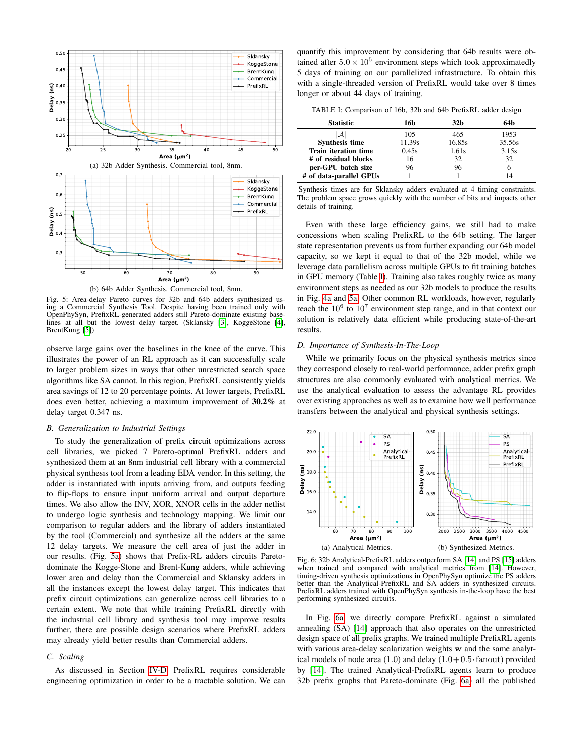<span id="page-4-2"></span>

Fig. 5: Area-delay Pareto curves for 32b and 64b adders synthesized using a Commercial Synthesis Tool. Despite having been trained only with OpenPhySyn, PrefixRL-generated adders still Pareto-dominate existing baselines at all but the lowest delay target. (Sklansky [\[3\]](#page-5-2), KoggeStone [\[4\]](#page-5-24), BrentKung [\[5\]](#page-5-3))

observe large gains over the baselines in the knee of the curve. This illustrates the power of an RL approach as it can successfully scale to larger problem sizes in ways that other unrestricted search space algorithms like SA cannot. In this region, PrefixRL consistently yields area savings of 12 to 20 percentage points. At lower targets, PrefixRL does even better, achieving a maximum improvement of 30.2% at delay target 0.347 ns.

## *B. Generalization to Industrial Settings*

To study the generalization of prefix circuit optimizations across cell libraries, we picked 7 Pareto-optimal PrefixRL adders and synthesized them at an 8nm industrial cell library with a commercial physical synthesis tool from a leading EDA vendor. In this setting, the adder is instantiated with inputs arriving from, and outputs feeding to flip-flops to ensure input uniform arrival and output departure times. We also allow the INV, XOR, XNOR cells in the adder netlist to undergo logic synthesis and technology mapping. We limit our comparison to regular adders and the library of adders instantiated by the tool (Commercial) and synthesize all the adders at the same 12 delay targets. We measure the cell area of just the adder in our results. (Fig. [5a\)](#page-4-2) shows that Prefix-RL adders circuits Paretodominate the Kogge-Stone and Brent-Kung adders, while achieving lower area and delay than the Commercial and Sklansky adders in all the instances except the lowest delay target. This indicates that prefix circuit optimizations can generalize across cell libraries to a certain extent. We note that while training PrefixRL directly with the industrial cell library and synthesis tool may improve results further, there are possible design scenarios where PrefixRL adders may already yield better results than Commercial adders.

#### *C. Scaling*

As discussed in Section [IV-D,](#page-3-0) PrefixRL requires considerable engineering optimization in order to be a tractable solution. We can

quantify this improvement by considering that 64b results were obtained after  $5.0 \times 10^5$  environment steps which took approximatedly 5 days of training on our parallelized infrastructure. To obtain this with a single-threaded version of PrefixRL would take over 8 times longer or about 44 days of training.

<span id="page-4-1"></span>TABLE I: Comparison of 16b, 32b and 64b PrefixRL adder design

| <b>Statistic</b>            | 16b    | 32b    | 64b    |
|-----------------------------|--------|--------|--------|
|                             | 105    | 465    | 1953   |
| Synthesis time              | 11.39s | 16.85s | 35.56s |
| <b>Train iteration time</b> | 0.45s  | 1.61s  | 3.15s  |
| # of residual blocks        | 16     | 32     | 32     |
| per-GPU batch size          | 96     | 96     | h      |
| # of data-parallel GPUs     |        |        |        |

Synthesis times are for Sklansky adders evaluated at 4 timing constraints. The problem space grows quickly with the number of bits and impacts other details of training.

Even with these large efficiency gains, we still had to make concessions when scaling PrefixRL to the 64b setting. The larger state representation prevents us from further expanding our 64b model capacity, so we kept it equal to that of the 32b model, while we leverage data parallelism across multiple GPUs to fit training batches in GPU memory (Table [I\)](#page-4-1). Training also takes roughly twice as many environment steps as needed as our 32b models to produce the results in Fig. [4a](#page-3-3) and [5a.](#page-4-2) Other common RL workloads, however, regularly reach the  $10^6$  to  $10^7$  environment step range, and in that context our solution is relatively data efficient while producing state-of-the-art results.

#### <span id="page-4-0"></span>*D. Importance of Synthesis-In-The-Loop*

While we primarily focus on the physical synthesis metrics since they correspond closely to real-world performance, adder prefix graph structures are also commonly evaluated with analytical metrics. We use the analytical evaluation to assess the advantage RL provides over existing approaches as well as to examine how well performance transfers between the analytical and physical synthesis settings.

<span id="page-4-3"></span>

Fig. 6: 32b Analytical-PrefixRL adders outperform SA [\[14\]](#page-5-10) and PS [\[15\]](#page-5-11) adders when trained and compared with analytical metrics from [\[14\]](#page-5-10). However, timing-driven synthesis optimizations in OpenPhySyn optimize the PS adders better than the Analytical-PrefixRL and SA adders in synthesized circuits. PrefixRL adders trained with OpenPhySyn synthesis in-the-loop have the best performing synthesized circuits.

In Fig. [6a,](#page-4-3) we directly compare PrefixRL against a simulated annealing (SA) [\[14\]](#page-5-10) approach that also operates on the unrestricted design space of all prefix graphs. We trained multiple PrefixRL agents with various area-delay scalarization weights w and the same analytical models of node area  $(1.0)$  and delay  $(1.0+0.5 \cdot \text{fanout})$  provided by [\[14\]](#page-5-10). The trained Analytical-PrefixRL agents learn to produce 32b prefix graphs that Pareto-dominate (Fig. [6a\)](#page-4-3) all the published